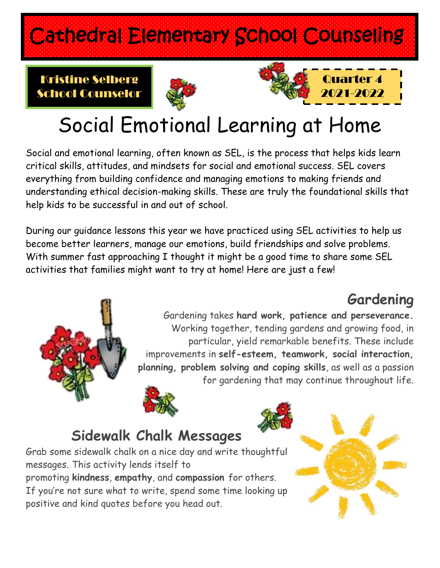# Cathedral Elementary School Counseling

#### Kristine Selberg School Counselor





# Social Emotional Learning at Home

Social and emotional learning, often known as SEL, is the process that helps kids learn critical skills, attitudes, and mindsets for social and emotional success. SEL covers everything from building confidence and managing emotions to making friends and understanding ethical decision-making skills. These are truly the foundational skills that help kids to be successful in and out of school.

During our guidance lessons this year we have practiced using SEL activities to help us become better learners, manage our emotions, build friendships and solve problems. With summer fast approaching I thought it might be a good time to share some SEL activities that families might want to try at home! Here are just a few!

### **Gardening**



Gardening takes **hard work, patience and perseverance.** Working together, tending gardens and growing food, in particular, yield remarkable benefits. These include improvements in **self-esteem, teamwork, social interaction, planning, problem solving and coping skills**, as well as a passion for gardening that may continue throughout life.

### **Sidewalk Chalk Messages**

Grab some sidewalk chalk on a nice day and write thoughtful messages. This activity lends itself to promoting **kindness**, **empathy**, and **compassion** for others. If you're not sure what to write, spend some time looking up positive and kind quotes before you head out.